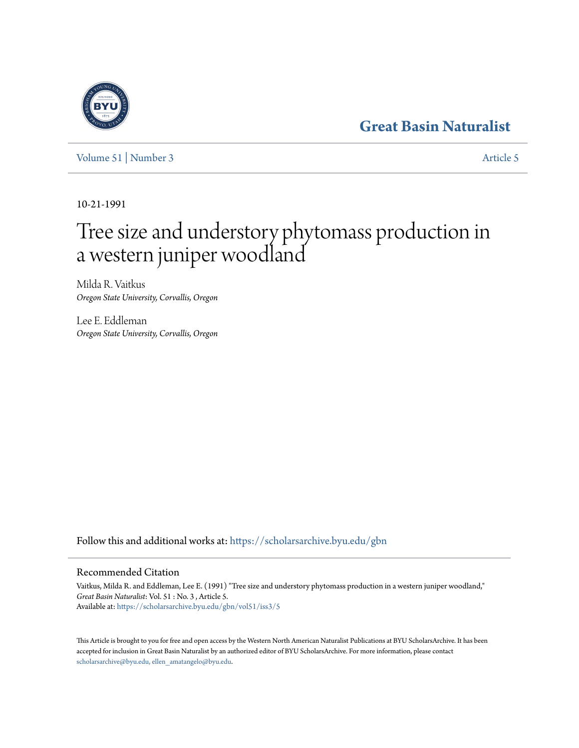# **[Great Basin Naturalist](https://scholarsarchive.byu.edu/gbn?utm_source=scholarsarchive.byu.edu%2Fgbn%2Fvol51%2Fiss3%2F5&utm_medium=PDF&utm_campaign=PDFCoverPages)**

[Volume 51](https://scholarsarchive.byu.edu/gbn/vol51?utm_source=scholarsarchive.byu.edu%2Fgbn%2Fvol51%2Fiss3%2F5&utm_medium=PDF&utm_campaign=PDFCoverPages) | [Number 3](https://scholarsarchive.byu.edu/gbn/vol51/iss3?utm_source=scholarsarchive.byu.edu%2Fgbn%2Fvol51%2Fiss3%2F5&utm_medium=PDF&utm_campaign=PDFCoverPages) [Article 5](https://scholarsarchive.byu.edu/gbn/vol51/iss3/5?utm_source=scholarsarchive.byu.edu%2Fgbn%2Fvol51%2Fiss3%2F5&utm_medium=PDF&utm_campaign=PDFCoverPages)

10-21-1991

# Tree size and understory phytomass production in a western juniper woodland

Milda R. Vaitkus *Oregon State University, Corvallis, Oregon*

Lee E. Eddleman *Oregon State University, Corvallis, Oregon*

Follow this and additional works at: [https://scholarsarchive.byu.edu/gbn](https://scholarsarchive.byu.edu/gbn?utm_source=scholarsarchive.byu.edu%2Fgbn%2Fvol51%2Fiss3%2F5&utm_medium=PDF&utm_campaign=PDFCoverPages)

## Recommended Citation

Vaitkus, Milda R. and Eddleman, Lee E. (1991) "Tree size and understory phytomass production in a western juniper woodland," *Great Basin Naturalist*: Vol. 51 : No. 3 , Article 5. Available at: [https://scholarsarchive.byu.edu/gbn/vol51/iss3/5](https://scholarsarchive.byu.edu/gbn/vol51/iss3/5?utm_source=scholarsarchive.byu.edu%2Fgbn%2Fvol51%2Fiss3%2F5&utm_medium=PDF&utm_campaign=PDFCoverPages)

This Article is brought to you for free and open access by the Western North American Naturalist Publications at BYU ScholarsArchive. It has been accepted for inclusion in Great Basin Naturalist by an authorized editor of BYU ScholarsArchive. For more information, please contact [scholarsarchive@byu.edu, ellen\\_amatangelo@byu.edu.](mailto:scholarsarchive@byu.edu,%20ellen_amatangelo@byu.edu)

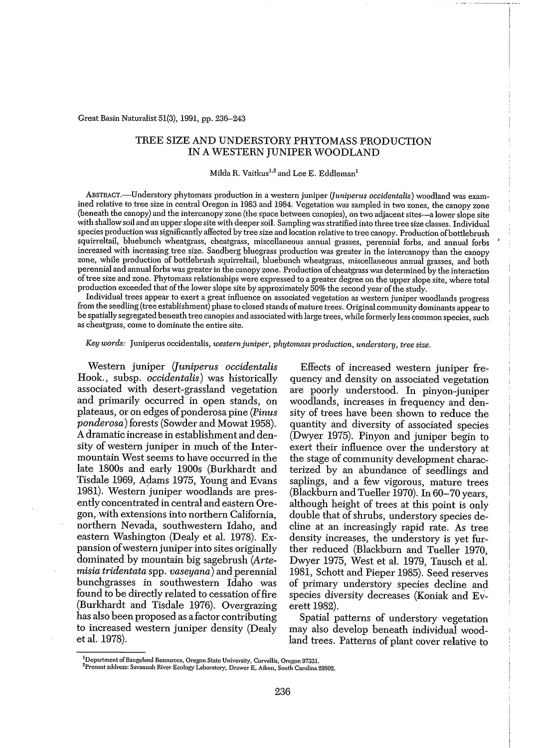Great Basin Naturalist 51(3), 1991, pp. 236-243

### TREE SIZE AND UNDERSTORY PHYTOMASS PRODUCTION IN A WESTERN JUNIPER WOODLAND

#### Milda R. Vaitkus<sup>1,2</sup> and Lee E. Eddleman

ABSTRACT.-Understory phytomass production in a western juniper *(Juniperus occidentalis)* woodland was examined relative to tree size in central Oregon in 1983 and 1984. Vegetation was sampled in two zones, the canopy zone (beneath the canopy) and the intercanopy zone (the space between canopies), on two adjacent sites-a lowerslope site with shallow soil and an upperslope site with deepersoil. Samplingwas stratified into three tree size classes. Individual species production was significantly affected by tree size and location relative to tree canopy. Production of bottlebrush squirreltail, bluebunch wheatgrass, cheatgrass, miscellaneous annual grasses, perennial forbs, and annual forbs increased with increasing tree size. Sandberg bluegrass production was greater in the intercanopy than the canopy zone, while production of bottlebrush squirreltail, hluebunch wheatgrass, miscellaneous annual grasses, and both perennial and annual forbs was greater in the canopy zone. Production of cheatgrass was determined by the interaction oftree size and zone. Phytomass relationships were expressed to a greater degree on the upper slope site, where total production exceeded that of the lower slope site by approximately 50% the second year of the study.

Individual trees appear to exert a great influence on associated vegetation as western juniper woodlands progress from the seedling (tree establishment) phase to closed stands of mature trees. Original community dominants appear to be spatially segregated beneath tree canopies and associated with large trees, while formerly less common species, such as cheatgrass, come to dominate the entire site.

#### *Key words:* Juniperus occidentalis, *westemjuniper, phytomass production, understory, tree size.*

Western juniper *(Juniperus occidentalis* Hook. , subsp. *occidentalis)* was historically associated with desert-grassland vegetation and primarily occurred in open stands, on plateaus, or on edges ofponderosa pine *(Pinus ponderosa)* forests (Sowder and Mowat 1958). A dramatic increase in establishment and density of western juniper in much of the Intermountain West seems to have occurred in the late 1800s and early 1900s (Burkhardt and Tisdale 1969, Adams 1975, Young and Evans 1981). Western juniper woodlands are presently concentrated in central and eastern Oregon,with extensions into northern California, northern Nevada, southwestern Idaho, and eastern Washington (Dealy et al. 1978). Expansion ofwestern juniperinto sites originally dominated by mountain big sagebrush *(Artemisia tridentata* spp. *vaseyana)* and perennial bunchgrasses in southwestern Idaho was found to be directly related to cessation of fire (Burkhardt and Tisdale 1976). Overgrazing has also been proposed as a factor contributing to increased western juniper density (Dealy et al. 1978).

Effects of increased western juniper frequency and density on associated vegetation are poorly understood. In pinyon-juniper woodlands, increases in frequency and density of trees have been shown to reduce the quantity and diversity of associated species (Dwyer 1975). Pinyon and juniper begin to exert their influence over the understory at the stage of community development characterized by an abundance of seedlings and saplings, and a few vigorous, mature trees (Blackburn and Tueller 1970). In 60-70 years, although height of trees at this point is only double that of shrubs, understory species decline at an increasingly rapid rate. As tree density increases, the understory is yet further reduced (Blackburn and Tueller 1970, Dwyer 1975, West et al. 1979, Tausch et al. 1981, Schott and Pieper 1985). Seed reserves of primary understory species decline and species diversity decreases (Koniak and Everett 1982).

Spatial patterns of understory vegetation may also develop beneath individual woodland trees. Patterns of plant cover relative to

**IDcpartmentofRangeland Resources, Oregon State University. Corvallis. Oregon 97331.**

**<sup>2</sup>Prcsent address: Savannah River Ecology Laboratory, Dmwer E, Aiken, South Carolina 29802.**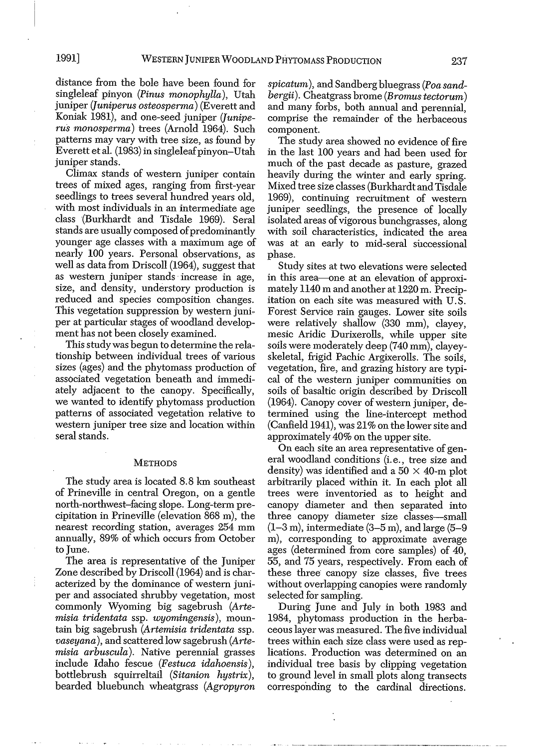distance from the bole have been found for singleleaf pinyon *(Pinus monophylla),* Utah juniper *(Juniperus osteosperma)* (Everett and Koniak 1981), and one-seed juniper *(Juniperus monosperma)* trees (Arnold 1964). Such patterns may vary with tree size, as found by Everett et al. (1983) in singleleaf pinyon-Utah juniper stands.

Climax stands of western juniper contain trees of mixed ages, ranging from first-year seedlings to trees several hundred years old, with most individuals in an intermediate age class (Burkhardt and Tisdale 1969). Seral stands are usually composed of predominantly younger age classes with a maximum age of nearly 100 years. Personal observations, as well as data from Driscoll (1964), suggest that as western juniper stands· increase in age, size, and density, understory production is reduced and species composition changes. This vegetation suppression by western juniper at particular stages of woodland development has not been closely examined.

This studywas begun to determine the relationship between individual trees of various sizes (ages) and the phytomass production of associated vegetation beneath and immediately adjacent to the canopy. Specifically, we wanted to identify phytomass production patterns of associated vegetation relative to western juniper tree size and location within seral stands.

#### **METHODS**

The study area is located 8.8 km southeast of Prineville in central Oregon, on a gentle north-northwest-facing slope. Long-term precipitation in Prineville (elevation 868 m), the nearest recording station, averages 254 mm annually, 89% of which occurs from October to June.

The area is representative of the Juniper Zone described by Driscoll (1964) and is characterized by the dominance of western juniper and associated shrubby vegetation, most commonly Wyoming big sagebrush *(Artemisia tridentata* ssp. *wyomingensis),* mountain big sagebrush *(Artemisia tridentata* ssp. *vaseyana),* and scattered low sagebrush *(Artemisia arbuscula).* Native perennial grasses include Idaho fescue *(Festuca idahoensis),* bottlebrush squirreltail *(Sitanion hystrix),* bearded bluebunch wheatgrass *(Agropyron* *spicatum),* and Sandberg bluegrass *(Poa sandbergii).* Cheatgrass brome *(Bromustectorum)* and many forbs, both annual and perennial, comprise the remainder of the herbaceous component.

The study area showed no evidence of fire in the last 100 years and had been used for much of the past decade as pasture, grazed heavily during the winter and early spring. Mixed tree size classes (Burkhardt and Tisdale 1969), continuing recruitment of western juniper seedlings, the presence of locally isolated areas of vigorous bunchgrasses, along with soil characteristics, indicated the area was at an early to mid-seral successional phase.

Study sites at two elevations were selected in this area—one at an elevation of approximately 1140 m and another at 1220 m. Precipitation on each site was measured with U.S. Forest Service rain gauges. Lower site soils were relatively shallow (330 mm), clayey, mesic Aridic Durixerolls, while upper site soils were moderately deep (740 mm), clayeyskeletal, frigid Pachic Argixerolls. The soils, vegetation, fire, and grazing history are typical of the western juniper communities on soils of basaltic origin described by Driscoll  $(1964)$ . Canopy cover of western juniper, detennined using the line-intercept method (Canfield 1941), was 21% on the lower site and approximately 40% on the upper site.

On each site an area representative of general woodland conditions (i. e., tree size and density) was identified and a  $50 \times 40$ -m plot arbitrarily placed within it. In each plot all trees were inventoried as to height and canopy diameter and then separated into three canopy diameter size classes-small  $(1-3 \text{ m})$ , intermediate  $(3-5 \text{ m})$ , and large  $(5-9 \text{ m})$ m), corresponding to approximate average ages (determined from core samples) of 40, 55, and 75 years, respectively. From each of these three canopy size classes, five trees without overlapping canopies were randomly selected for sampling.

During June and July in both 1983 and 1984, phytomass production in the herbaceous layer was measured. The five individual trees within each size class were used as replications. Production was determined on an individual tree basis by clipping vegetation to ground level in small plots along transects corresponding to the cardinal directions.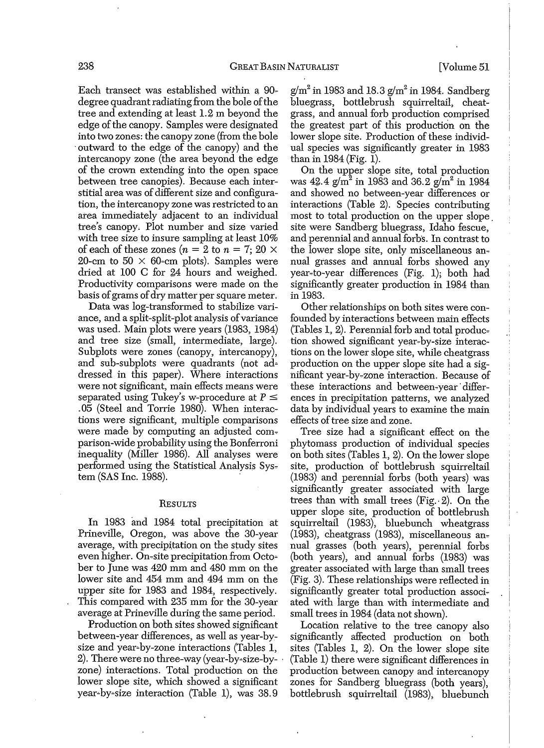Each transect was established within a 90degree quadrant radiating from the bole of the tree and extending at least 1.2 m beyond the edge of the canopy. Samples were designated into two zones: the canopy zone (from the bole .outward to the edge of the canopy) and the intercanopy zone (the area beyond the edge of the crown extending into the open space between tree canopies). Because each interstitial area was of different size and configuration, the intercanopy zone was restricted to an area immediately adjacent to an individual tree's canopy, Plot number and size varied with tree size to insure sampling at least 10% of each of these zones  $(n = 2$  to  $n = 7; 20 \times$ 20-cm to 50  $\times$  60-cm plots). Samples were dried at 100 C for 24 hours and weighed. Productivity comparisons were made on the basis of grams of dry matter per square meter.

Data was log-transformed to stabilize variance, and a split-split-plot analysis of variance was used. Main plots were years (1983, 1984) and tree size (small, intermediate, large). Subplots were zones (canopy, intercanopy), and sub-subplots were quadrants (not addressed in this paper). Where interactions were not significant, main effects means were separated using Tukey's w-procedure at  $P \leq$ .05 (Steel and Torrie 1980). When interac~ tions were significant, multiple comparisons were made by computing an adjusted comparison-wide probability using the Bonferroni inequality (Miller 1986). All analyses were performed using the Statistical Analysis System (SAS Inc. 1988).

#### **RESULTS**

In 1983 and 1984 total precipitation at Prineville, Oregon, was above the 30-year average, with precipitation on the study sites even higher. On-site precipitation from October to June was 420 mm and 480 mm on the lower site and 454 mm and 494 mm on the upper site for 1983 and 1984, respectively. This compared with 235 mm for the 30-year average at Prineville during the same period.

Production on both sites showed significant between-year differences, as well as year-bysize and year-by-zone interactions (Tables 1, 2). There were no three-way (year-by~size-by- . zone) interactions. Total production on the lower slope site, which showed a significant year~by~size interaction (Table 1), was 38.9

 $g/m^2$  in 1983 and 18.3  $g/m^2$  in 1984. Sandberg bluegrass, bottlebrush squirreltail, cheatgrass, and annual forb production comprised the greatest part of this production on the lower slope site. Production of these individual species was significantly greater in 1983 than in 1984 (Fig. 1).

On the upper slope site, total production was  $42.4$  g/m<sup>2</sup> in 1983 and 36.2 g/m<sup>2</sup> in 1984 and showed no between-year differences or interactions (Table 2). Species contributing most to total production on the upper slope. site were Sandberg bluegrass, Idaho fescue, and perennial and annual forb's. In contrast to the lower slope site, only miscellaneous annual grasses and annual forbs showed any year~to-year differences (Fig. 1); both had significantly greater production in 1984 than in 1983.

Other relationships on both sites were con~ founded by interactions between main effects (Tables 1, 2). Perennial forb and total produc~ tion showed significant year~by-size interactions on the lower slope site, while cheatgrass production on the upper slope site had a significant year-by~zone interaction. Because of these interactions and between-year' differences in precipitation patterns, we analyzed data by individual years to examine the main effects of tree size and zone.

Tree size had a significant effect on the phytomass production of individual species on both sites (Tables 1, 2). On the lower slope site, production of bottlebrush squirreltail (1983) and perennial forbs (both years) was significantly greater associated with large trees than with small trees (Fig.. 2). On the upper slope site, production of bottlebrush squirreltail (1983), bluebunch wheatgrass (1983), cheatgrass (1983), miscellaneous an~ nual grasses (both years), perennial forbs (both years), and annual forbs (1983) was greater associated with large than small trees (Fig. 3). These relationships were reflected in significantly greater total production associated with large than with intermediate and small trees in 1984 (data not shown).

Location relative to the tree canopy also significantly affected production on both sites (Tables 1, 2). On the lower slope site (Table 1) there were significant differences in production between canopy and intercanopy zones for Sandberg bluegrass (both years), bottlebrush squirreltail (1983), bluebunch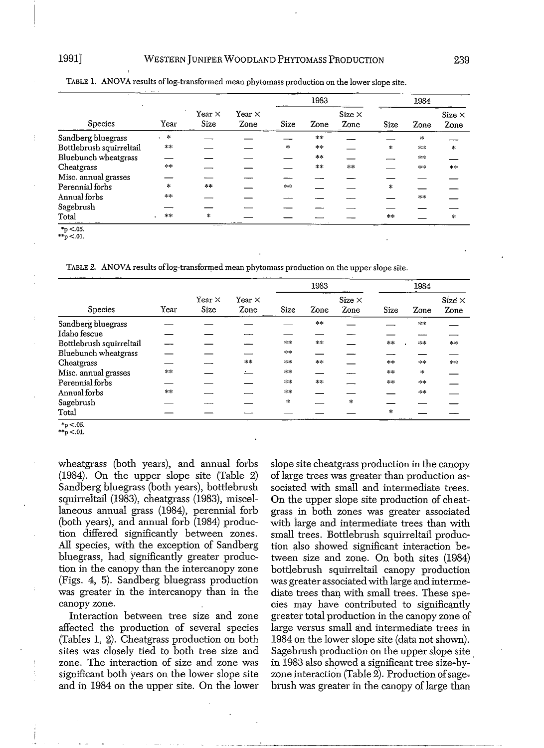| ___<br>Species            | Year      | Year $\times$<br>Size | Year $\times$<br>Zone | 1983      |      |                       | 1984          |        |                       |
|---------------------------|-----------|-----------------------|-----------------------|-----------|------|-----------------------|---------------|--------|-----------------------|
|                           |           |                       |                       | Size      | Zone | Size $\times$<br>Zone | Size          | Zone   | Size $\times$<br>Zone |
| Sandberg bluegrass        | $\approx$ |                       |                       |           | $**$ |                       |               | $\ast$ |                       |
| Bottlebrush squirreltail  | **        |                       |                       | $\approx$ | **   |                       | $\ast$        | $**$   | *                     |
| Bluebunch wheatgrass      |           |                       |                       |           | $**$ |                       |               | $*$    |                       |
| Cheatgrass                | $**$      |                       |                       |           | **   | 冰冰                    |               | $*$    | **                    |
| Misc. annual grasses      |           |                       |                       |           |      |                       |               |        |                       |
| Perennial forbs           | $\approx$ | **                    |                       | $**$      |      |                       | $\frac{1}{2}$ |        |                       |
| Annual forbs              | $**$      |                       |                       |           |      |                       |               | $**$   |                       |
| Sagebrush                 |           |                       |                       |           |      |                       |               |        |                       |
| Total                     | **        | 4                     |                       |           |      |                       | $***$         |        | *                     |
| <b><i><u>ALCO</u></i></b> |           |                       |                       |           |      |                       |               |        |                       |

TABLE 1. ANOVA results of log-transformed mean phytomass production on the lower slope site.

\*p<.05.

 $*$  $\frac{1}{p}$  <.01.

TABLE 2. ANOVA results of log-transformed mean phytomass production on the upper slope site.

| <b>Species</b>           | Year    | Year $\times$<br>Size | Year $\times$<br>Zone | 1983                          |       |                       | 1984          |       |                       |
|--------------------------|---------|-----------------------|-----------------------|-------------------------------|-------|-----------------------|---------------|-------|-----------------------|
|                          |         |                       |                       | Size                          | Zone  | Size $\times$<br>Zone | Size          | Zone  | Size $\times$<br>Zone |
| Sandberg bluegrass       |         |                       |                       |                               | **    |                       |               | $* *$ |                       |
| Idaho fescue             |         |                       |                       |                               |       |                       |               |       |                       |
| Bottlebrush squirreltail |         |                       |                       | $\approx +$                   | $**$  |                       | 冰冰            | **    | $***$                 |
| Bluebunch wheatgrass     |         |                       |                       | $**$                          |       |                       |               |       |                       |
| Cheatgrass               |         |                       | $+1$                  | $\pm 1$                       | $**$  |                       | 本本            | **    | **                    |
| Misc. annual grasses     | $\pm 1$ |                       |                       | $\frac{1}{2}$ , $\frac{1}{2}$ |       |                       | 宗宗            | $+$   |                       |
| Perennial forbs          |         |                       |                       | 宗米                            | $# +$ |                       | **            | $* *$ |                       |
| Annual forbs             | $***$   |                       |                       | $= +$                         |       |                       |               | 宗宗    |                       |
| Sagebrush                |         |                       |                       | $\ast$                        |       | $\pm$                 |               |       |                       |
| Total                    |         |                       |                       |                               |       |                       | $\mathcal{R}$ |       |                       |

 $*_{p}$  <.05.

wheatgrass (both years), and annual forbs (1984). On the upper slope site (Table 2) Sandberg bluegrass (both years), bottlebrush squirreltail (1983), cheatgrass (1983), miscellaneous annual grass (1984), perennial forb (both years), and annual forb (1984) production differed significantly between zones. All species, with the exception of Sandberg bluegrass, had significantly greater production in the canopy than the intercanopy zone (Figs. 4, 5). Sandberg bluegrass production was greater in the intercanopy than in the canopy zone.

Interaction between tree size and zone affected the production of several species (Tables 1, 2). Cheatgrass production on both sites was closely tied to both tree size and zone. The interaction of size and zone was significant both years on the lower slope site and in 1984 on the upper site. On the lower slope site cheatgrass production in the canopy of large trees was greater than production associated with small and intermediate trees. On the upper slope site production of cheatgrass in both zones was greater associated with large and intermediate trees than with small trees. Bottlebrush squirreltail produc~ tion also showed significant interaction between size and zone. On both sites (1984) bottlebrush squirreltail canopy production was greater associated with large and intermediate trees than with small trees. These species may have contributed to significantly greater total production in the canopy zone of large versus small and intermediate trees in 1984 on the lower slope site (data not shown). Sagebrush production on the upper slope site in 1983 also showed a significant tree size-byzone interaction (Table 2). Production of sagebrush was greater in the canopy of large than

 $\hat{p}$  <.01.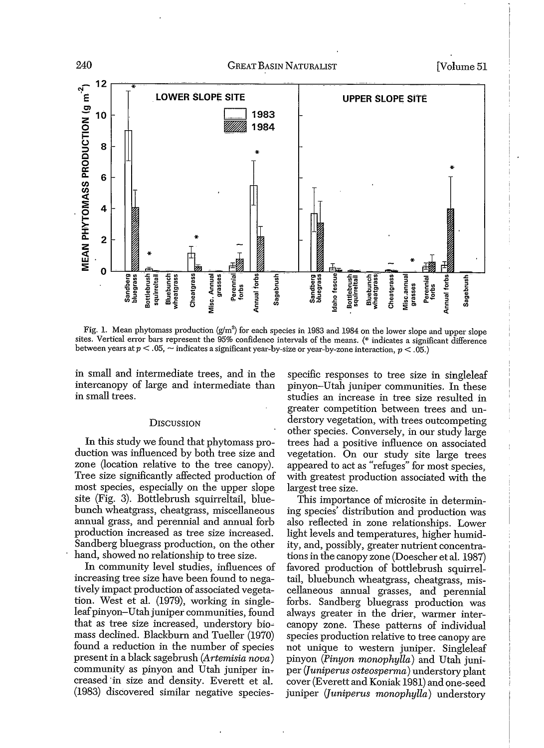

Fig. 1. Mean phytomass production  $(g/m^2)$  for each species in 1983 and 1984 on the lower slope and upper slope sites. Vertical error bars represent the 95% confidence intervals of the means. (\* indicates a significant difference between years at  $p < .05$ ,  $\sim$  indicates a significant year-by-size or year-by-zone interaction,  $p < .05$ .)

in small and intermediate trees, and in the intercanopy of large and intermediate than in small trees.

#### **DISCUSSION**

In this study we found that phytomass production was influenced by both tree size and zone (location relative to the tree canopy). Tree size significantly affected production of most species, especially on the upper slope site (Fig. 3). Bottlebrush squirreltail, bluebunch wheatgrass, cheatgrass, miscellaneous annual grass, and perennial and annual forb production increased as tree size increased. Sandberg bluegrass production, on the other hand, showed no relationship to tree size.

In community level studies, influences of increasing tree size have been found to negatively impact production of associated vegetation. West et al. (1979), working in singleleaf pinyon-Utah juniper communities, found that as tree size increased, understory biomass declined. Blackburn and Tueller (1970) found a reduction in the number of species present in a black sagebrush (Artemisia nova) community as pinyon and Utah juniper increased in size and density. Everett et al. (1983) discovered similar negative species-

specific responses to tree size in singleleaf pinyon-Utah juniper communities. In these studies an increase in tree size resulted in greater competition between trees and understory vegetation, with trees outcompeting other species. Conversely, in our study large trees had a positive influence on associated vegetation. On our study site large trees appeared to act as "refuges" for most species. with greatest production associated with the largest tree size.

This importance of microsite in determining species' distribution and production was also reflected in zone relationships. Lower light levels and temperatures, higher humidity, and, possibly, greater nutrient concentrations in the canopy zone (Doescher et al. 1987) favored production of bottlebrush squirreltail, bluebunch wheatgrass, cheatgrass, miscellaneous annual grasses, and perennial forbs. Sandberg bluegrass production was always greater in the drier, warmer intercanopy zone. These patterns of individual species production relative to tree canopy are not unique to western juniper. Singleleaf pinyon (Pinyon monophylla) and Utah juniper (Juniperus osteosperma) understory plant cover (Everett and Koniak 1981) and one-seed juniper (Juniperus monophylla) understory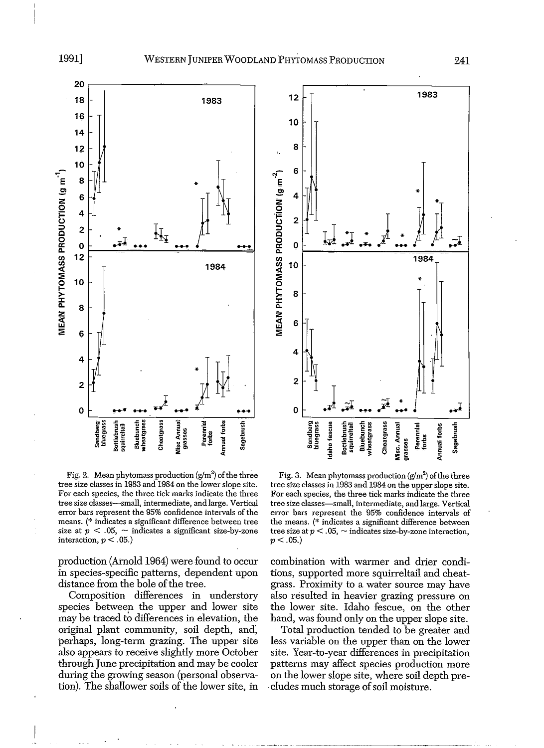

Fig. 2. Mean phytomass production  $\left(\frac{g}{m^2}\right)$  of the three tree size classes in 1983 and 1984 on the lower slope site. For each species, the three tick marks indicate the three tree size classes-small, intermediate, and large. Vertical error bars represent the 95% confidence intervals of the means. (\* indicates a significant difference between tree size at  $p < 0.05$ ,  $\sim$  indicates a significant size-by-zone interaction,  $p < .05$ .)

production (Arnold 1964) were found to occur in species-specific patterns, dependent upon distance from the bole of the tree.

Composition differences in understory species between the upper and lower site may be traced to differences in elevation, the original plant community, soil depth, and, perhaps, long-term grazing. The upper site also appears to receive slightly more October through June precipitation and may be cooler during the growing season (personal observation). The shallower soils of the lower site, in



Fig. 3. Mean phytomass production  $(g/m^2)$  of the three tree size classes in 1983 and 1984 on the upper slope site. For each species, the three tick marks indicate the three tree size classes—small, intermediate, and large. Vertical error bars represent the 95% confidence intervals of the means. (\* indicates a significant difference between tree size at  $p < 0.05$ ,  $\sim$  indicates size-by-zone interaction.  $p < .05.$ 

combination with warmer and drier conditions, supported more squirreltail and cheatgrass. Proximity to a water source may have also resulted in heavier grazing pressure on the lower site. Idaho fescue, on the other hand, was found only on the upper slope site.

Total production tended to be greater and less variable on the upper than on the lower site. Year-to-year differences in precipitation patterns may affect species production more on the lower slope site, where soil depth precludes much storage of soil moisture.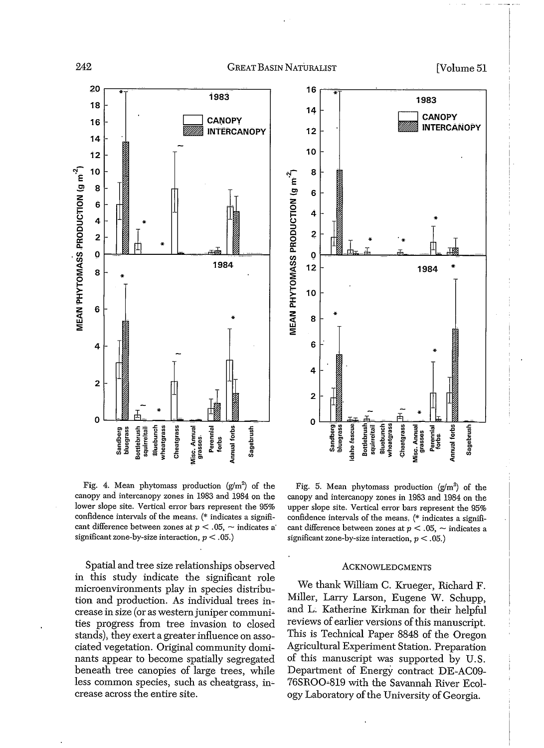



Fig. 4. Mean phytomass production  $(g/m^2)$  of the canopy and intercanopy zones in 1983 and 1984 on the lower slope site. Vertical error bars represent the 95% confidence intervals of the means. (\* indicates a significant difference between zones at  $p < 0.05$ , ~ indicates a significant zone-by-size interaction,  $p < .05$ .)

Spatial and tree size relationships observed in this study indicate the significant role microenvironments play in species distribution and production. As individual trees increase in size (or as western juniper communities progress from tree invasion to closed stands), they exert a greater influence on associated vegetation. Original community dominants appear to become spatially segregated beneath tree canopies of large trees, while less common species, such as cheatgrass, increase across the entire site.

Fig. 5. Mean phytomass production  $(g/m^2)$  of the canopy and intercanopy zones in 1983 and 1984 on the upper slope site. Vertical error bars represent the 95% confidence intervals of the means. (\* indicates a significant difference between zones at  $p < .05$ ,  $\sim$  indicates a significant zone-by-size interaction,  $p < .05$ .)

#### **ACKNOWLEDGMENTS**

We thank William C. Krueger, Richard F. Miller, Larry Larson, Eugene W. Schupp, and L. Katherine Kirkman for their helpful reviews of earlier versions of this manuscript. This is Technical Paper 8848 of the Oregon Agricultural Experiment Station. Preparation of this manuscript was supported by U.S. Department of Energy contract DE-AC09-76SROO-819 with the Savannah River Ecology Laboratory of the University of Georgia.